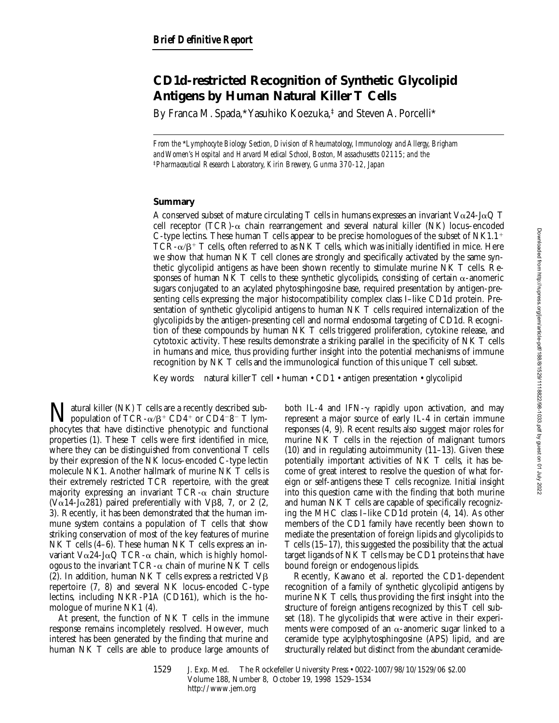# **CD1d-restricted Recognition of Synthetic Glycolipid Antigens by Human Natural Killer T Cells**

By Franca M. Spada,\* Yasuhiko Koezuka,‡ and Steven A. Porcelli\*

*From the* \**Lymphocyte Biology Section, Division of Rheumatology, Immunology and Allergy, Brigham and Women's Hospital and Harvard Medical School, Boston, Massachusetts 02115; and the*  ‡*Pharmaceutical Research Laboratory, Kirin Brewery, Gunma 370-12, Japan*

## **Summary**

A conserved subset of mature circulating T cells in humans expresses an invariant  $V\alpha24-J\alpha Q$  T cell receptor (TCR)- $\alpha$  chain rearrangement and several natural killer (NK) locus–encoded C-type lectins. These human T cells appear to be precise homologues of the subset of NK1.1<sup>+</sup>  $TCR-\alpha/\beta^+$  T cells, often referred to as NK T cells, which was initially identified in mice. Here we show that human NK T cell clones are strongly and specifically activated by the same synthetic glycolipid antigens as have been shown recently to stimulate murine NK T cells. Responses of human NK T cells to these synthetic glycolipids, consisting of certain  $\alpha$ -anomeric sugars conjugated to an acylated phytosphingosine base, required presentation by antigen-presenting cells expressing the major histocompatibility complex class I–like CD1d protein. Presentation of synthetic glycolipid antigens to human NK T cells required internalization of the glycolipids by the antigen-presenting cell and normal endosomal targeting of CD1d. Recognition of these compounds by human NK T cells triggered proliferation, cytokine release, and cytotoxic activity. These results demonstrate a striking parallel in the specificity of NK T cells in humans and mice, thus providing further insight into the potential mechanisms of immune recognition by NK T cells and the immunological function of this unique T cell subset.

Key words: natural killer T cell • human • CD1 • antigen presentation • glycolipid

Tatural killer (NK) T cells are a recently described subpopulation of TCR- $\alpha/\beta$ <sup>+</sup> CD4<sup>+</sup> or CD4<sup>-8-</sup> T lymphocytes that have distinctive phenotypic and functional properties (1). These T cells were first identified in mice, where they can be distinguished from conventional T cells by their expression of the NK locus–encoded C-type lectin molecule NK1. Another hallmark of murine NK T cells is their extremely restricted TCR repertoire, with the great majority expressing an invariant  $TCR-\alpha$  chain structure (V $\alpha$ 14-J $\alpha$ 281) paired preferentially with V $\beta$ 8, 7, or 2 (2, 3). Recently, it has been demonstrated that the human immune system contains a population of T cells that show striking conservation of most of the key features of murine NK T cells (4–6). These human NK T cells express an invariant V $\alpha$ 24-J $\alpha$ Q TCR- $\alpha$  chain, which is highly homologous to the invariant  $TCR-\alpha$  chain of murine NK T cells (2). In addition, human NK T cells express a restricted  $\vee \beta$ repertoire (7, 8) and several NK locus–encoded C-type lectins, including NKR-P1A (CD161), which is the homologue of murine NK1 (4).

At present, the function of NK T cells in the immune response remains incompletely resolved. However, much interest has been generated by the finding that murine and human NK T cells are able to produce large amounts of both IL-4 and IFN- $\gamma$  rapidly upon activation, and may represent a major source of early IL-4 in certain immune responses (4, 9). Recent results also suggest major roles for murine NK T cells in the rejection of malignant tumors (10) and in regulating autoimmunity (11–13). Given these potentially important activities of NK T cells, it has become of great interest to resolve the question of what foreign or self-antigens these T cells recognize. Initial insight into this question came with the finding that both murine and human NK T cells are capable of specifically recognizing the MHC class I–like CD1d protein (4, 14). As other members of the CD1 family have recently been shown to mediate the presentation of foreign lipids and glycolipids to T cells (15–17), this suggested the possibility that the actual target ligands of NK T cells may be CD1 proteins that have bound foreign or endogenous lipids.

Recently, Kawano et al. reported the CD1-dependent recognition of a family of synthetic glycolipid antigens by murine NK T cells, thus providing the first insight into the structure of foreign antigens recognized by this T cell subset (18). The glycolipids that were active in their experiments were composed of an  $\alpha$ -anomeric sugar linked to a ceramide type acylphytosphingosine (APS) lipid, and are structurally related but distinct from the abundant ceramide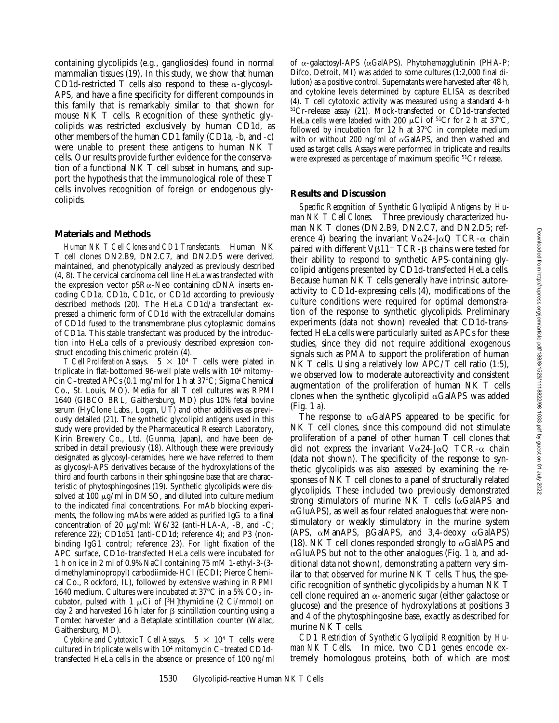containing glycolipids (e.g., gangliosides) found in normal mammalian tissues (19). In this study, we show that human CD1d-restricted T cells also respond to these  $\alpha$ -glycosyl-APS, and have a fine specificity for different compounds in this family that is remarkably similar to that shown for mouse NK T cells. Recognition of these synthetic glycolipids was restricted exclusively by human CD1d, as other members of the human CD1 family (CD1a, -b, and -c) were unable to present these antigens to human NK T cells. Our results provide further evidence for the conservation of a functional NK T cell subset in humans, and support the hypothesis that the immunological role of these T cells involves recognition of foreign or endogenous glycolipids.

### **Materials and Methods**

*Human NK T Cell Clones and CD1 Transfectants.* Human NK T cell clones DN2.B9, DN2.C7, and DN2.D5 were derived, maintained, and phenotypically analyzed as previously described (4, 8). The cervical carcinoma cell line HeLa was transfected with the expression vector  $pSR\alpha$ -Neo containing cDNA inserts encoding CD1a, CD1b, CD1c, or CD1d according to previously described methods (20). The HeLa CD1d/a transfectant expressed a chimeric form of CD1d with the extracellular domains of CD1d fused to the transmembrane plus cytoplasmic domains of CD1a. This stable transfectant was produced by the introduction into HeLa cells of a previously described expression construct encoding this chimeric protein (4).

*T Cell Proliferation Assays.*  $5 \times 10^4$  T cells were plated in triplicate in flat-bottomed 96-well plate wells with 104 mitomycin C-treated APCs (0.1 mg/ml for 1 h at  $37^{\circ}$ C; Sigma Chemical Co., St. Louis, MO). Media for all T cell cultures was RPMI 1640 (GIBCO BRL, Gaithersburg, MD) plus 10% fetal bovine serum (HyClone Labs., Logan, UT) and other additives as previously detailed (21). The synthetic glycolipid antigens used in this study were provided by the Pharmaceutical Research Laboratory, Kirin Brewery Co., Ltd. (Gunma, Japan), and have been described in detail previously (18). Although these were previously designated as glycosyl-ceramides, here we have referred to them as glycosyl-APS derivatives because of the hydroxylations of the third and fourth carbons in their sphingosine base that are characteristic of phytosphingosines (19). Synthetic glycolipids were dissolved at 100  $\mu$ g/ml in DMSO, and diluted into culture medium to the indicated final concentrations. For mAb blocking experiments, the following mAbs were added as purified IgG to a final concentration of 20  $\mu$ g/ml: W6/32 (anti-HLA-A, -B, and -C; reference 22); CD1d51 (anti-CD1d; reference 4); and P3 (nonbinding IgG1 control; reference 23). For light fixation of the APC surface, CD1d-transfected HeLa cells were incubated for 1 h on ice in 2 ml of 0.9% NaCl containing 75 mM 1-ethyl-3-(3 dimethylaminopropyl) carbodiimide-HCl (ECDI; Pierce Chemical Co., Rockford, IL), followed by extensive washing in RPMI 1640 medium. Cultures were incubated at 37 $^{\circ}$ C in a 5% CO<sub>2</sub> incubator, pulsed with 1  $\mu$ Ci of [<sup>3</sup>H]thymidine (2 Ci/mmol) on day 2 and harvested 16 h later for  $\beta$  scintillation counting using a Tomtec harvester and a Betaplate scintillation counter (Wallac, Gaithersburg, MD).

*Cytokine and Cytotoxic T Cell Assays.*  $5 \times 10^4$  T cells were cultured in triplicate wells with 104 mitomycin C–treated CD1dtransfected HeLa cells in the absence or presence of 100 ng/ml

of  $\alpha$ -galactosyl-APS ( $\alpha$ GalAPS). Phytohemagglutinin (PHA-P; Difco, Detroit, MI) was added to some cultures (1:2,000 final dilution) as a positive control. Supernatants were harvested after 48 h, and cytokine levels determined by capture ELISA as described (4). T cell cytotoxic activity was measured using a standard 4-h 51Cr-release assay (21). Mock-transfected or CD1d-transfected HeLa cells were labeled with 200  $\mu$ Ci of <sup>51</sup>Cr for 2 h at 37°C, followed by incubation for  $12$  h at  $37^{\circ}$ C in complete medium with or without 200 ng/ml of  $\alpha$ GalAPS, and then washed and used as target cells. Assays were performed in triplicate and results were expressed as percentage of maximum specific <sup>51</sup>Cr release.

### **Results and Discussion**

*Specific Recognition of Synthetic Glycolipid Antigens by Human NK T Cell Clones.* Three previously characterized human NK T clones (DN2.B9, DN2.C7, and DN2.D5; reference 4) bearing the invariant  $V\alpha$ 24-J $\alpha$ Q TCR- $\alpha$  chain paired with different  $V\beta11^+$  TCR- $\beta$  chains were tested for their ability to respond to synthetic APS-containing glycolipid antigens presented by CD1d-transfected HeLa cells. Because human NK T cells generally have intrinsic autoreactivity to CD1d-expressing cells (4), modifications of the culture conditions were required for optimal demonstration of the response to synthetic glycolipids. Preliminary experiments (data not shown) revealed that CD1d-transfected HeLa cells were particularly suited as APCs for these studies, since they did not require additional exogenous signals such as PMA to support the proliferation of human NK T cells. Using a relatively low APC/T cell ratio (1:5), we observed low to moderate autoreactivity and consistent augmentation of the proliferation of human NK T cells clones when the synthetic glycolipid  $\alpha$ GalAPS was added (Fig. 1 *a*).

The response to  $\alpha$ GalAPS appeared to be specific for NK T cell clones, since this compound did not stimulate proliferation of a panel of other human T cell clones that did not express the invariant  $V\alpha$ 24-J $\alpha$ Q TCR- $\alpha$  chain (data not shown). The specificity of the response to synthetic glycolipids was also assessed by examining the responses of NK T cell clones to a panel of structurally related glycolipids. These included two previously demonstrated strong stimulators of murine NK  $T$  cells ( $\alpha$ GalAPS and  $\alpha$ GluAPS), as well as four related analogues that were nonstimulatory or weakly stimulatory in the murine system (APS,  $\alpha$ ManAPS,  $\beta$ GalAPS, and 3,4-deoxy  $\alpha$ GalAPS) (18). NK T cell clones responded strongly to  $\alpha$ GalAPS and  $\alpha$ GluAPS but not to the other analogues (Fig. 1 *b*, and additional data not shown), demonstrating a pattern very similar to that observed for murine NK T cells. Thus, the specific recognition of synthetic glycolipids by a human NK T cell clone required an  $\alpha$ -anomeric sugar (either galactose or glucose) and the presence of hydroxylations at positions 3 and 4 of the phytosphingosine base, exactly as described for murine NK T cells.

*CD1 Restriction of Synthetic Glycolipid Recognition by Human NK T Cells.* In mice, two CD1 genes encode extremely homologous proteins, both of which are most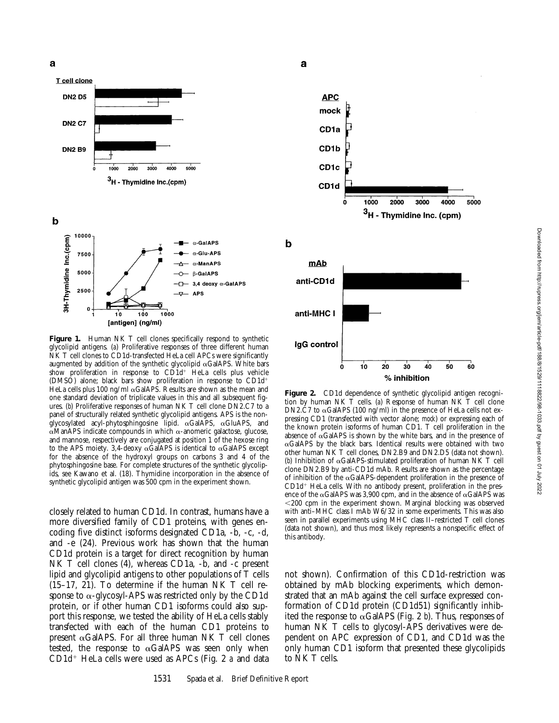a



[antigen] (ng/ml)

Figure 1. Human NK T cell clones specifically respond to synthetic glycolipid antigens. (*a*) Proliferative responses of three different human NK T cell clones to CD1d-transfected HeLa cell APCs were significantly augmented by addition of the synthetic glycolipid  $\alpha$ GalAPS. White bars show proliferation in response to  $CD1d^+$  HeLa cells plus vehicle (DMSO) alone; black bars show proliferation in response to CD1d<sup>+</sup> HeLa cells plus 100 ng/ml  $\alpha$ GalAPS. Results are shown as the mean and one standard deviation of triplicate values in this and all subsequent figures. (*b*) Proliferative responses of human NK T cell clone DN2.C7 to a panel of structurally related synthetic glycolipid antigens. APS is the nonglycosylated acyl-phytosphingosine lipid.  $\alpha$ GalAPS,  $\alpha$ GluAPS, and  $\alpha$ ManAPS indicate compounds in which  $\alpha$ -anomeric galactose, glucose, and mannose, respectively are conjugated at position 1 of the hexose ring to the APS moiety. 3,4-deoxy  $\alpha$ GalAPS is identical to  $\alpha$ GalAPS except for the absence of the hydroxyl groups on carbons 3 and 4 of the phytosphingosine base. For complete structures of the synthetic glycolipids, see Kawano et al. (18). Thymidine incorporation in the absence of synthetic glycolipid antigen was 500 cpm in the experiment shown.

closely related to human CD1d. In contrast, humans have a more diversified family of CD1 proteins, with genes encoding five distinct isoforms designated CD1a, -b, -c, -d, and -e (24). Previous work has shown that the human CD1d protein is a target for direct recognition by human NK T cell clones (4), whereas CD1a, -b, and -c present lipid and glycolipid antigens to other populations of T cells (15–17, 21). To determine if the human NK T cell response to  $\alpha$ -glycosyl-APS was restricted only by the CD1d protein, or if other human CD1 isoforms could also support this response, we tested the ability of HeLa cells stably transfected with each of the human CD1 proteins to present  $\alpha$ GalAPS. For all three human NK T cell clones tested, the response to  $\alpha$ GalAPS was seen only when CD1d<sup>+</sup> HeLa cells were used as APCs (Fig. 2 *a* and data



a

Figure 2. CD1d dependence of synthetic glycolipid antigen recognition by human NK T cells. (*a*) Response of human NK T cell clone DN2.C7 to  $\alpha$ GalAPS (100 ng/ml) in the presence of HeLa cells not expressing CD1 (transfected with vector alone; *mock*) or expressing each of the known protein isoforms of human CD1. T cell proliferation in the absence of  $\alpha$ GalAPS is shown by the white bars, and in the presence of  $\alpha$ GalAPS by the black bars. Identical results were obtained with two other human NK T cell clones, DN2.B9 and DN2.D5 (data not shown). (*b*) Inhibition of  $\alpha$ GalAPS-stimulated proliferation of human NK T cell clone DN2.B9 by anti-CD1d mAb. Results are shown as the percentage of inhibition of the  $\alpha$ GalAPS-dependent proliferation in the presence of  $CD1d+HeLa$  cells. With no antibody present, proliferation in the presence of the  $\alpha$ GalAPS was 3,900 cpm, and in the absence of  $\alpha$ GalAPS was  $<$ 200 cpm in the experiment shown. Marginal blocking was observed with anti–MHC class I mAb W6/32 in some experiments. This was also seen in parallel experiments using MHC class II–restricted T cell clones (data not shown), and thus most likely represents a nonspecific effect of this antibody.

not shown). Confirmation of this CD1d-restriction was obtained by mAb blocking experiments, which demonstrated that an mAb against the cell surface expressed conformation of CD1d protein (CD1d51) significantly inhibited the response to  $\alpha$ GalAPS (Fig. 2 *b*). Thus, responses of human NK T cells to glycosyl-APS derivatives were dependent on APC expression of CD1, and CD1d was the only human CD1 isoform that presented these glycolipids to NK T cells.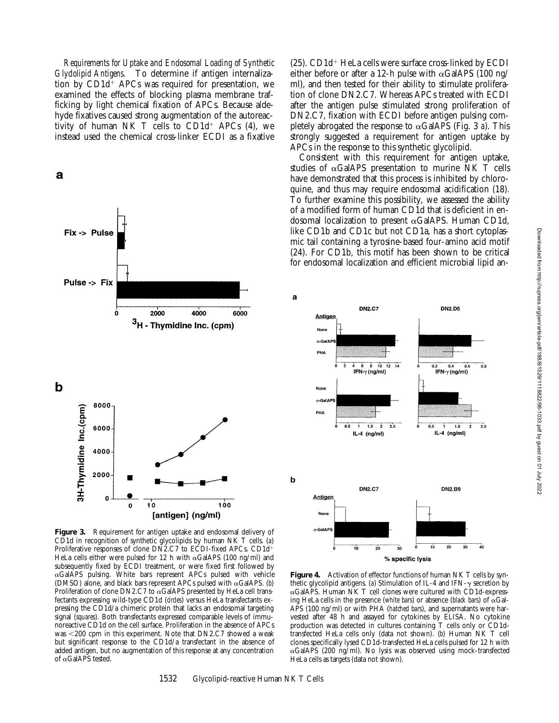*Requirements for Uptake and Endosomal Loading of Synthetic Glyclolipid Antigens.* To determine if antigen internalization by  $CD1d^+$  APCs was required for presentation, we examined the effects of blocking plasma membrane trafficking by light chemical fixation of APCs. Because aldehyde fixatives caused strong augmentation of the autoreactivity of human NK T cells to  $CD1d^+$  APCs (4), we instead used the chemical cross-linker ECDI as a fixative





 $(25)$ . CD1d<sup>+</sup> HeLa cells were surface cross-linked by ECDI either before or after a 12-h pulse with  $\alpha$ GalAPS (100 ng/ ml), and then tested for their ability to stimulate proliferation of clone DN2.C7. Whereas APCs treated with ECDI after the antigen pulse stimulated strong proliferation of DN2.C7, fixation with ECDI before antigen pulsing completely abrogated the response to  $\alpha$ GalAPS (Fig. 3 *a*). This strongly suggested a requirement for antigen uptake by APCs in the response to this synthetic glycolipid.

Consistent with this requirement for antigen uptake, studies of  $\alpha$ GalAPS presentation to murine NK T cells have demonstrated that this process is inhibited by chloroquine, and thus may require endosomal acidification (18). To further examine this possibility, we assessed the ability of a modified form of human CD1d that is deficient in endosomal localization to present  $\alpha$ GalAPS. Human CD1d, like CD1b and CD1c but not CD1a, has a short cytoplasmic tail containing a tyrosine-based four-amino acid motif (24). For CD1b, this motif has been shown to be critical for endosomal localization and efficient microbial lipid an-



**Figure 4.** Activation of effector functions of human NK T cells by synthetic glycolipid antigens. (a) Stimulation of IL-4 and IFN- $\gamma$  secretion by aGalAPS. Human NK T cell clones were cultured with CD1d-expressing HeLa cells in the presence (*white bars*) or absence (*black bars*) of  $\alpha$ Gal-APS (100 ng/ml) or with PHA (*hatched bars*), and supernatants were harvested after 48 h and assayed for cytokines by ELISA. No cytokine production was detected in cultures containing T cells only or CD1dtransfected HeLa cells only (data not shown). (*b*) Human NK T cell clones specifically lysed CD1d-transfected HeLa cells pulsed for 12 h with  $\alpha$ GalAPS (200 ng/ml). No lysis was observed using mock-transfected HeLa cells as targets (data not shown).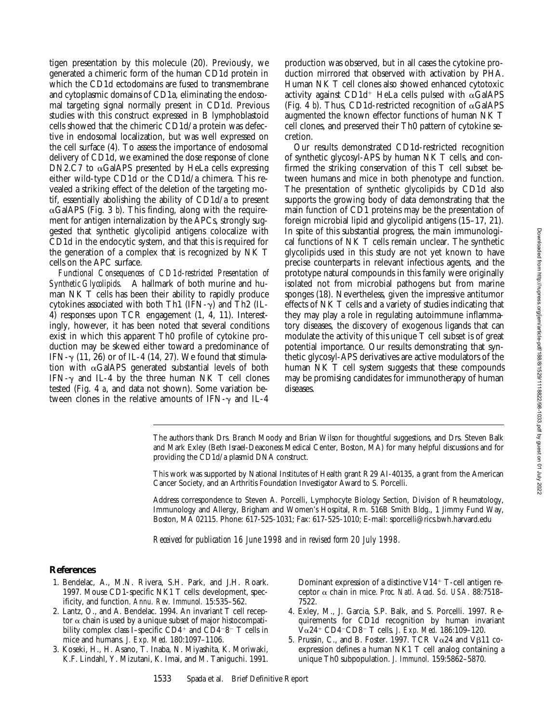tigen presentation by this molecule (20). Previously, we generated a chimeric form of the human CD1d protein in which the CD1d ectodomains are fused to transmembrane and cytoplasmic domains of CD1a, eliminating the endosomal targeting signal normally present in CD1d. Previous studies with this construct expressed in B lymphoblastoid cells showed that the chimeric CD1d/a protein was defective in endosomal localization, but was well expressed on the cell surface (4). To assess the importance of endosomal delivery of CD1d, we examined the dose response of clone DN2.C7 to  $\alpha$ GalAPS presented by HeLa cells expressing either wild-type CD1d or the CD1d/a chimera. This revealed a striking effect of the deletion of the targeting motif, essentially abolishing the ability of CD1d/a to present  $\alpha$ GalAPS (Fig. 3 *b*). This finding, along with the requirement for antigen internalization by the APCs, strongly suggested that synthetic glycolipid antigens colocalize with CD1d in the endocytic system, and that this is required for the generation of a complex that is recognized by NK T cells on the APC surface.

*Functional Consequences of CD1d-restricted Presentation of Synthetic Glycolipids.* A hallmark of both murine and human NK T cells has been their ability to rapidly produce cytokines associated with both Th1 (IFN- $\gamma$ ) and Th2 (IL-4) responses upon TCR engagement (1, 4, 11). Interestingly, however, it has been noted that several conditions exist in which this apparent Th0 profile of cytokine production may be skewed either toward a predominance of IFN- $\gamma$  (11, 26) or of IL-4 (14, 27). We found that stimulation with  $\alpha$ GalAPS generated substantial levels of both IFN- $\gamma$  and IL-4 by the three human NK T cell clones tested (Fig. 4 *a*, and data not shown). Some variation between clones in the relative amounts of IFN- $\gamma$  and IL-4

production was observed, but in all cases the cytokine production mirrored that observed with activation by PHA. Human NK T cell clones also showed enhanced cytotoxic activity against CD1d<sup>+</sup> HeLa cells pulsed with  $\alpha$ GalAPS (Fig. 4  $b$ ). Thus, CD1d-restricted recognition of  $\alpha$ GalAPS augmented the known effector functions of human NK T cell clones, and preserved their Th0 pattern of cytokine secretion.

Our results demonstrated CD1d-restricted recognition of synthetic glycosyl-APS by human NK T cells, and confirmed the striking conservation of this T cell subset between humans and mice in both phenotype and function. The presentation of synthetic glycolipids by CD1d also supports the growing body of data demonstrating that the main function of CD1 proteins may be the presentation of foreign microbial lipid and glycolipid antigens (15–17, 21). In spite of this substantial progress, the main immunological functions of NK T cells remain unclear. The synthetic glycolipids used in this study are not yet known to have precise counterparts in relevant infectious agents, and the prototype natural compounds in this family were originally isolated not from microbial pathogens but from marine sponges (18). Nevertheless, given the impressive antitumor effects of NK T cells and a variety of studies indicating that they may play a role in regulating autoimmune inflammatory diseases, the discovery of exogenous ligands that can modulate the activity of this unique T cell subset is of great potential importance. Our results demonstrating that synthetic glycosyl-APS derivatives are active modulators of the human NK T cell system suggests that these compounds may be promising candidates for immunotherapy of human diseases.

The authors thank Drs. Branch Moody and Brian Wilson for thoughtful suggestions, and Drs. Steven Balk and Mark Exley (Beth Israel-Deaconess Medical Center, Boston, MA) for many helpful discussions and for providing the CD1d/a plasmid DNA construct.

This work was supported by National Institutes of Health grant R29 AI-40135, a grant from the American Cancer Society, and an Arthritis Foundation Investigator Award to S. Porcelli.

Address correspondence to Steven A. Porcelli, Lymphocyte Biology Section, Division of Rheumatology, Immunology and Allergy, Brigham and Women's Hospital, Rm. 516B Smith Bldg., 1 Jimmy Fund Way, Boston, MA 02115. Phone: 617-525-1031; Fax: 617-525-1010; E-mail: sporcelli@rics.bwh.harvard.edu

*Received for publication 16 June 1998 and in revised form 20 July 1998.*

### **References**

- 1. Bendelac, A., M.N. Rivera, S.H. Park, and J.H. Roark. 1997. Mouse CD1-specific NK1 T cells: development, specificity, and function. *Annu. Rev. Immunol.* 15:535–562.
- 2. Lantz, O., and A. Bendelac. 1994. An invariant T cell receptor  $\alpha$  chain is used by a unique subset of major histocompatibility complex class I–specific  $CD4^+$  and  $CD4^-8^-$  T cells in mice and humans. *J. Exp. Med.* 180:1097–1106.
- 3. Koseki, H., H. Asano, T. Inaba, N. Miyashita, K. Moriwaki, K.F. Lindahl, Y. Mizutani, K. Imai, and M. Taniguchi. 1991.

Dominant expression of a distinctive  $V14$ <sup>+</sup> T-cell antigen receptor a chain in mice. *Proc. Natl. Acad. Sci. USA.* 88:7518– 7522.

- 4. Exley, M., J. Garcia, S.P. Balk, and S. Porcelli. 1997. Requirements for CD1d recognition by human invariant  $\overline{V} \alpha$ 24<sup>+</sup> CD4<sup>-</sup>CD8<sup>-</sup> T cells. *J. Exp. Med.* 186:109-120.
- 5. Prussin, C., and B. Foster. 1997. TCR V $\alpha$ 24 and V $\beta$ 11 coexpression defines a human NK1 T cell analog containing a unique Th0 subpopulation. *J. Immunol.* 159:5862–5870.